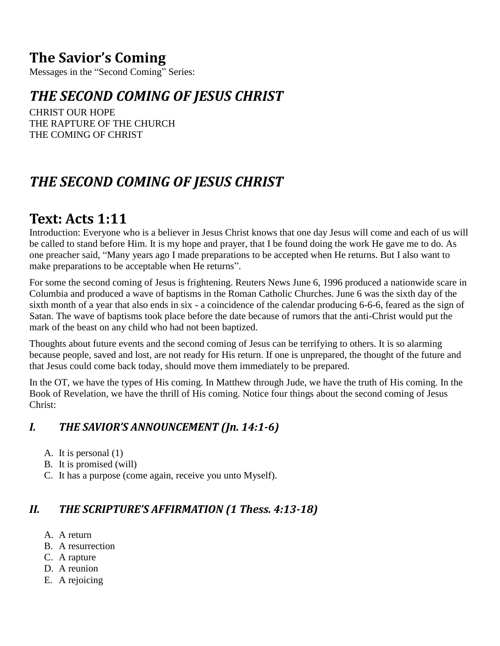### **The Savior's Coming**

Messages in the "Second Coming" Series:

### *THE SECOND COMING OF JESUS CHRIST*

CHRIST OUR HOPE THE RAPTURE OF THE CHURCH THE COMING OF CHRIST

## *THE SECOND COMING OF JESUS CHRIST*

### **Text: Acts 1:11**

Introduction: Everyone who is a believer in Jesus Christ knows that one day Jesus will come and each of us will be called to stand before Him. It is my hope and prayer, that I be found doing the work He gave me to do. As one preacher said, "Many years ago I made preparations to be accepted when He returns. But I also want to make preparations to be acceptable when He returns".

For some the second coming of Jesus is frightening. Reuters News June 6, 1996 produced a nationwide scare in Columbia and produced a wave of baptisms in the Roman Catholic Churches. June 6 was the sixth day of the sixth month of a year that also ends in six - a coincidence of the calendar producing 6-6-6, feared as the sign of Satan. The wave of baptisms took place before the date because of rumors that the anti-Christ would put the mark of the beast on any child who had not been baptized.

Thoughts about future events and the second coming of Jesus can be terrifying to others. It is so alarming because people, saved and lost, are not ready for His return. If one is unprepared, the thought of the future and that Jesus could come back today, should move them immediately to be prepared.

In the OT, we have the types of His coming. In Matthew through Jude, we have the truth of His coming. In the Book of Revelation, we have the thrill of His coming. Notice four things about the second coming of Jesus Christ:

#### *I. THE SAVIOR'S ANNOUNCEMENT (Jn. 14:1-6)*

- A. It is personal (1)
- B. It is promised (will)
- C. It has a purpose (come again, receive you unto Myself).

#### *II. THE SCRIPTURE'S AFFIRMATION (1 Thess. 4:13-18)*

- A. A return
- B. A resurrection
- C. A rapture
- D. A reunion
- E. A rejoicing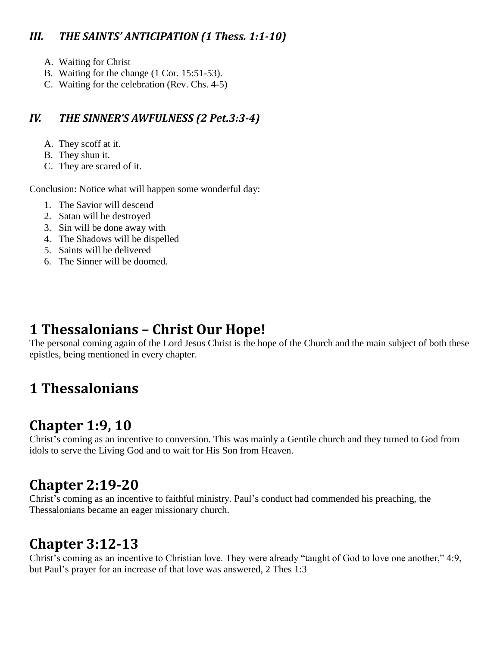#### *III. THE SAINTS' ANTICIPATION (1 Thess. 1:1-10)*

- A. Waiting for Christ
- B. Waiting for the change (1 Cor. 15:51-53).
- C. Waiting for the celebration (Rev. Chs. 4-5)

#### *IV. THE SINNER'S AWFULNESS (2 Pet.3:3-4)*

- A. They scoff at it.
- B. They shun it.
- C. They are scared of it.

Conclusion: Notice what will happen some wonderful day:

- 1. The Savior will descend
- 2. Satan will be destroyed
- 3. Sin will be done away with
- 4. The Shadows will be dispelled
- 5. Saints will be delivered
- 6. The Sinner will be doomed.

### **1 Thessalonians – Christ Our Hope!**

The personal coming again of the Lord Jesus Christ is the hope of the Church and the main subject of both these epistles, being mentioned in every chapter.

# **1 Thessalonians**

### **Chapter 1:9, 10**

Christ's coming as an incentive to conversion. This was mainly a Gentile church and they turned to God from idols to serve the Living God and to wait for His Son from Heaven.

### **Chapter 2:19-20**

Christ's coming as an incentive to faithful ministry. Paul's conduct had commended his preaching, the Thessalonians became an eager missionary church.

### **Chapter 3:12-13**

Christ's coming as an incentive to Christian love. They were already "taught of God to love one another," 4:9, but Paul's prayer for an increase of that love was answered, 2 Thes 1:3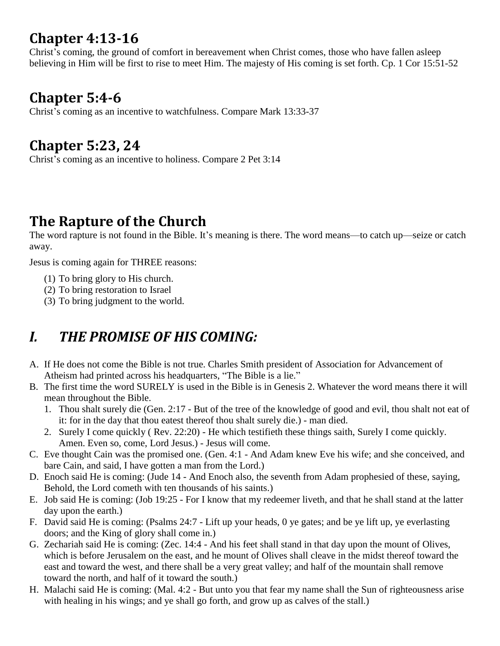## **Chapter 4:13-16**

Christ's coming, the ground of comfort in bereavement when Christ comes, those who have fallen asleep believing in Him will be first to rise to meet Him. The majesty of His coming is set forth. Cp. 1 Cor 15:51-52

### **Chapter 5:4-6**

Christ's coming as an incentive to watchfulness. Compare Mark 13:33-37

### **Chapter 5:23, 24**

Christ's coming as an incentive to holiness. Compare 2 Pet 3:14

### **The Rapture of the Church**

The word rapture is not found in the Bible. It's meaning is there. The word means—to catch up—seize or catch away.

Jesus is coming again for THREE reasons:

- (1) To bring glory to His church.
- (2) To bring restoration to Israel
- (3) To bring judgment to the world.

# *I. THE PROMISE OF HIS COMING:*

- A. If He does not come the Bible is not true. Charles Smith president of Association for Advancement of Atheism had printed across his headquarters, "The Bible is a lie."
- B. The first time the word SURELY is used in the Bible is in Genesis 2. Whatever the word means there it will mean throughout the Bible.
	- 1. Thou shalt surely die (Gen. 2:17 But of the tree of the knowledge of good and evil, thou shalt not eat of it: for in the day that thou eatest thereof thou shalt surely die.) - man died.
	- 2. Surely I come quickly ( Rev. 22:20) He which testifieth these things saith, Surely I come quickly. Amen. Even so, come, Lord Jesus.) - Jesus will come.
- C. Eve thought Cain was the promised one. (Gen. 4:1 And Adam knew Eve his wife; and she conceived, and bare Cain, and said, I have gotten a man from the Lord.)
- D. Enoch said He is coming: (Jude 14 And Enoch also, the seventh from Adam prophesied of these, saying, Behold, the Lord cometh with ten thousands of his saints.)
- E. Job said He is coming: (Job 19:25 For I know that my redeemer liveth, and that he shall stand at the latter day upon the earth.)
- F. David said He is coming: (Psalms 24:7 Lift up your heads, 0 ye gates; and be ye lift up, ye everlasting doors; and the King of glory shall come in.)
- G. Zechariah said He is coming: (Zec. 14:4 And his feet shall stand in that day upon the mount of Olives, which is before Jerusalem on the east, and he mount of Olives shall cleave in the midst thereof toward the east and toward the west, and there shall be a very great valley; and half of the mountain shall remove toward the north, and half of it toward the south.)
- H. Malachi said He is coming: (Mal. 4:2 But unto you that fear my name shall the Sun of righteousness arise with healing in his wings; and ye shall go forth, and grow up as calves of the stall.)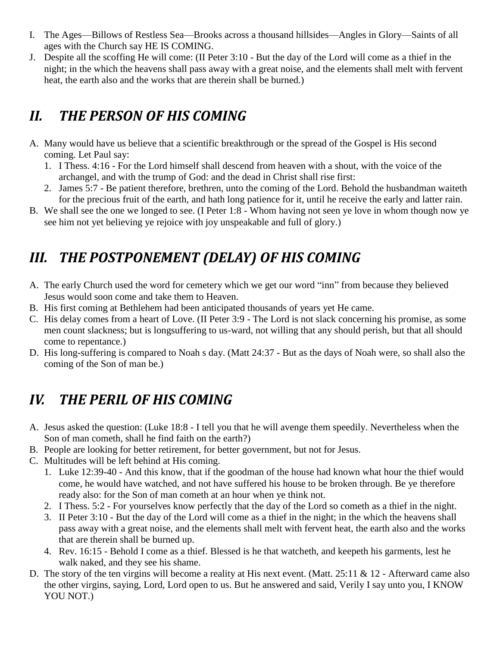- I. The Ages—Billows of Restless Sea—Brooks across a thousand hillsides—Angles in Glory—Saints of all ages with the Church say HE IS COMING.
- J. Despite all the scoffing He will come: (II Peter 3:10 But the day of the Lord will come as a thief in the night; in the which the heavens shall pass away with a great noise, and the elements shall melt with fervent heat, the earth also and the works that are therein shall be burned.)

# *II. THE PERSON OF HIS COMING*

- A. Many would have us believe that a scientific breakthrough or the spread of the Gospel is His second coming. Let Paul say:
	- 1. I Thess. 4:16 For the Lord himself shall descend from heaven with a shout, with the voice of the archangel, and with the trump of God: and the dead in Christ shall rise first:
	- 2. James 5:7 Be patient therefore, brethren, unto the coming of the Lord. Behold the husbandman waiteth for the precious fruit of the earth, and hath long patience for it, until he receive the early and latter rain.
- B. We shall see the one we longed to see. (I Peter 1:8 Whom having not seen ye love in whom though now ye see him not yet believing ye rejoice with joy unspeakable and full of glory.)

# *III. THE POSTPONEMENT (DELAY) OF HIS COMING*

- A. The early Church used the word for cemetery which we get our word "inn" from because they believed Jesus would soon come and take them to Heaven.
- B. His first coming at Bethlehem had been anticipated thousands of years yet He came.
- C. His delay comes from a heart of Love. (II Peter 3:9 The Lord is not slack concerning his promise, as some men count slackness; but is longsuffering to us-ward, not willing that any should perish, but that all should come to repentance.)
- D. His long-suffering is compared to Noah s day. (Matt 24:37 But as the days of Noah were, so shall also the coming of the Son of man be.)

# *IV. THE PERIL OF HIS COMING*

- A. Jesus asked the question: (Luke 18:8 I tell you that he will avenge them speedily. Nevertheless when the Son of man cometh, shall he find faith on the earth?)
- B. People are looking for better retirement, for better government, but not for Jesus.
- C. Multitudes will be left behind at His coming.
	- 1. Luke 12:39-40 And this know, that if the goodman of the house had known what hour the thief would come, he would have watched, and not have suffered his house to be broken through. Be ye therefore ready also: for the Son of man cometh at an hour when ye think not.
	- 2. I Thess. 5:2 For yourselves know perfectly that the day of the Lord so cometh as a thief in the night.
	- 3. II Peter 3:10 But the day of the Lord will come as a thief in the night; in the which the heavens shall pass away with a great noise, and the elements shall melt with fervent heat, the earth also and the works that are therein shall be burned up.
	- 4. Rev. 16:15 Behold I come as a thief. Blessed is he that watcheth, and keepeth his garments, lest he walk naked, and they see his shame.
- D. The story of the ten virgins will become a reality at His next event. (Matt. 25:11 & 12 Afterward came also the other virgins, saying, Lord, Lord open to us. But he answered and said, Verily I say unto you, I KNOW YOU NOT.)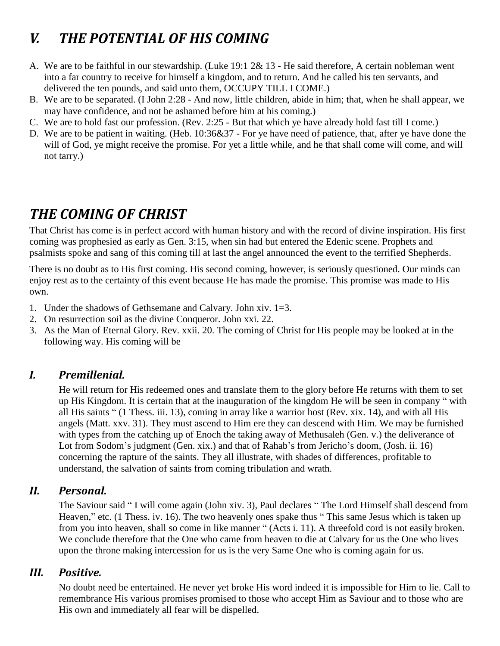# *V. THE POTENTIAL OF HIS COMING*

- A. We are to be faithful in our stewardship. (Luke 19:1 2& 13 He said therefore, A certain nobleman went into a far country to receive for himself a kingdom, and to return. And he called his ten servants, and delivered the ten pounds, and said unto them, OCCUPY TILL I COME.)
- B. We are to be separated. (I John 2:28 And now, little children, abide in him; that, when he shall appear, we may have confidence, and not be ashamed before him at his coming.)
- C. We are to hold fast our profession. (Rev. 2:25 But that which ye have already hold fast till I come.)
- D. We are to be patient in waiting. (Heb. 10:36&37 For ye have need of patience, that, after ye have done the will of God, ye might receive the promise. For yet a little while, and he that shall come will come, and will not tarry.)

### *THE COMING OF CHRIST*

That Christ has come is in perfect accord with human history and with the record of divine inspiration. His first coming was prophesied as early as Gen. 3:15, when sin had but entered the Edenic scene. Prophets and psalmists spoke and sang of this coming till at last the angel announced the event to the terrified Shepherds.

There is no doubt as to His first coming. His second coming, however, is seriously questioned. Our minds can enjoy rest as to the certainty of this event because He has made the promise. This promise was made to His own.

- 1. Under the shadows of Gethsemane and Calvary. John xiv. 1=3.
- 2. On resurrection soil as the divine Conqueror. John xxi. 22.
- 3. As the Man of Eternal Glory. Rev. xxii. 20. The coming of Christ for His people may be looked at in the following way. His coming will be

#### *I. Premillenial.*

He will return for His redeemed ones and translate them to the glory before He returns with them to set up His Kingdom. It is certain that at the inauguration of the kingdom He will be seen in company " with all His saints " (1 Thess. iii. 13), coming in array like a warrior host (Rev. xix. 14), and with all His angels (Matt. xxv. 31). They must ascend to Him ere they can descend with Him. We may be furnished with types from the catching up of Enoch the taking away of Methusaleh (Gen. v.) the deliverance of Lot from Sodom's judgment (Gen. xix.) and that of Rahab's from Jericho's doom, (Josh. ii. 16) concerning the rapture of the saints. They all illustrate, with shades of differences, profitable to understand, the salvation of saints from coming tribulation and wrath.

#### *II. Personal.*

The Saviour said " I will come again (John xiv. 3), Paul declares " The Lord Himself shall descend from Heaven," etc. (1 Thess. iv. 16). The two heavenly ones spake thus "This same Jesus which is taken up from you into heaven, shall so come in like manner " (Acts i. 11). A threefold cord is not easily broken. We conclude therefore that the One who came from heaven to die at Calvary for us the One who lives upon the throne making intercession for us is the very Same One who is coming again for us.

#### *III. Positive.*

No doubt need be entertained. He never yet broke His word indeed it is impossible for Him to lie. Call to remembrance His various promises promised to those who accept Him as Saviour and to those who are His own and immediately all fear will be dispelled.